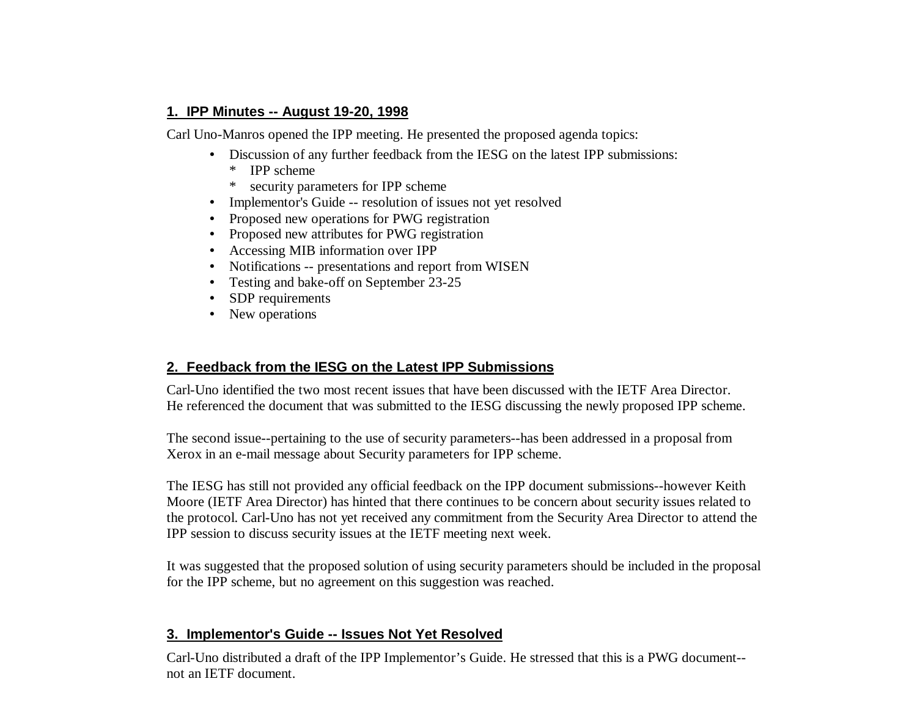# **1. IPP Minutes -- August 19-20, 1998**

Carl Uno-Manros opened the IPP meeting. He presented the proposed agenda topics:

- Discussion of any further feedback from the IESG on the latest IPP submissions:
	- \* IPP scheme
	- security parameters for IPP scheme
- Implementor's Guide -- resolution of issues not yet resolved
- Proposed new operations for PWG registration
- Proposed new attributes for PWG registration
- Accessing MIB information over IPP
- Notifications -- presentations and report from WISEN
- Testing and bake-off on September 23-25
- SDP requirements
- New operations

# **2. Feedback from the IESG on the Latest IPP Submissions**

Carl-Uno identified the two most recent issues that have been discussed with the IETF Area Director. He referenced the document that was submitted to the IESG discussing the newly proposed IPP scheme.

The second issue--pertaining to the use of security parameters--has been addressed in a proposal from Xerox in an e-mail message about Security parameters for IPP scheme.

The IESG has still not provided any official feedback on the IPP document submissions--however Keith Moore (IETF Area Director) has hinted that there continues to be concern about security issues related to the protocol. Carl-Uno has not yet received any commitment from the Security Area Director to attend the IPP session to discuss security issues at the IETF meeting next week.

It was suggested that the proposed solution of using security parameters should be included in the proposal for the IPP scheme, but no agreement on this suggestion was reached.

# **3. Implementor's Guide -- Issues Not Yet Resolved**

Carl-Uno distributed a draft of the IPP Implementor's Guide. He stressed that this is a PWG document- not an IETF document.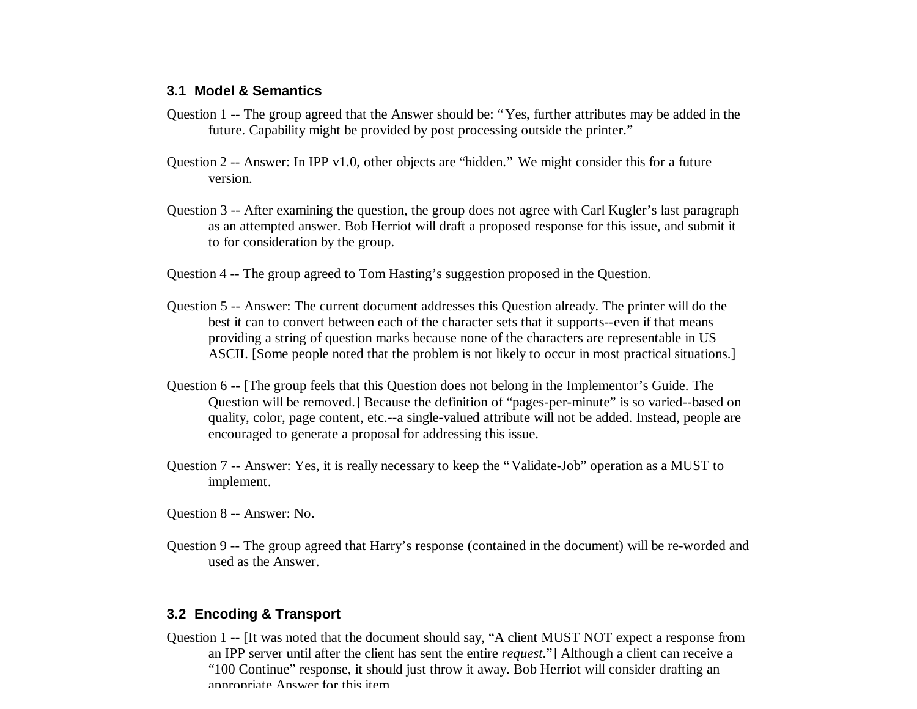#### **3.1 Model & Semantics**

- Question 1 -- The group agreed that the Answer should be: "Yes, further attributes may be added in the future. Capability might be provided by post processing outside the printer."
- Question 2 -- Answer: In IPP v1.0, other objects are "hidden." We might consider this for a future version.
- Question 3 -- After examining the question, the group does not agree with Carl Kugler's last paragraph as an attempted answer. Bob Herriot will draft a proposed response for this issue, and submit it to for consideration by the group.
- Question 4 -- The group agreed to Tom Hasting's suggestion proposed in the Question.
- Question 5 -- Answer: The current document addresses this Question already. The printer will do the best it can to convert between each of the character sets that it supports--even if that means providing a string of question marks because none of the characters are representable in US ASCII. [Some people noted that the problem is not likely to occur in most practical situations.]
- Question 6 -- [The group feels that this Question does not belong in the Implementor's Guide. The Question will be removed.] Because the definition of "pages-per-minute" is so varied--based on quality, color, page content, etc.--a single-valued attribute will not be added. Instead, people are encouraged to generate a proposal for addressing this issue.
- Question 7 -- Answer: Yes, it is really necessary to keep the "Validate-Job" operation as a MUST to implement.

Question 8 -- Answer: No.

Question 9 -- The group agreed that Harry's response (contained in the document) will be re-worded and used as the Answer.

### **3.2 Encoding & Transport**

Question 1 -- [It was noted that the document should say, "A client MUST NOT expect a response from an IPP server until after the client has sent the entire *request*."] Although a client can receive a "100 Continue" response, it should just throw it away. Bob Herriot will consider drafting an appropriate Answer for this item.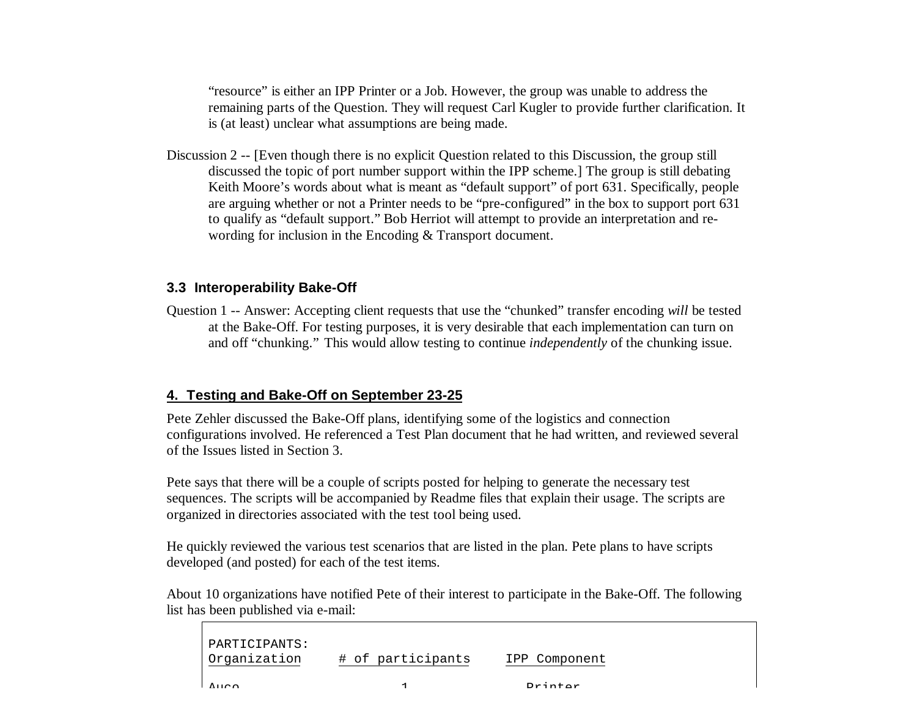"resource" is either an IPP Printer or a Job. However, the group was unable to address the remaining parts of the Question. They will request Carl Kugler to provide further clarification. It is (at least) unclear what assumptions are being made.

Discussion 2 -- [Even though there is no explicit Question related to this Discussion, the group still discussed the topic of port number support within the IPP scheme.] The group is still debating Keith Moore's words about what is meant as "default support" of port 631. Specifically, people are arguing whether or not a Printer needs to be "pre-configured" in the box to support port 631 to qualify as "default support." Bob Herriot will attempt to provide an interpretation and rewording for inclusion in the Encoding & Transport document.

### **3.3 Interoperability Bake-Off**

Question 1 -- Answer: Accepting client requests that use the "chunked" transfer encoding *will* be tested at the Bake-Off. For testing purposes, it is very desirable that each implementation can turn on and off "chunking." This would allow testing to continue *independently* of the chunking issue.

# **4. Testing and Bake-Off on September 23-25**

Pete Zehler discussed the Bake-Off plans, identifying some of the logistics and connection configurations involved. He referenced a Test Plan document that he had written, and reviewed several of the Issues listed in Section 3.

Pete says that there will be a couple of scripts posted for helping to generate the necessary test sequences. The scripts will be accompanied by Readme files that explain their usage. The scripts are organized in directories associated with the test tool being used.

He quickly reviewed the various test scenarios that are listed in the plan. Pete plans to have scripts developed (and posted) for each of the test items.

About 10 organizations have notified Pete of their interest to participate in the Bake-Off. The following list has been published via e-mail:

| PARTICIPANTS:<br>Organization | # of participants | IPP Component     |
|-------------------------------|-------------------|-------------------|
| 7.120                         |                   | $D = \frac{1}{2}$ |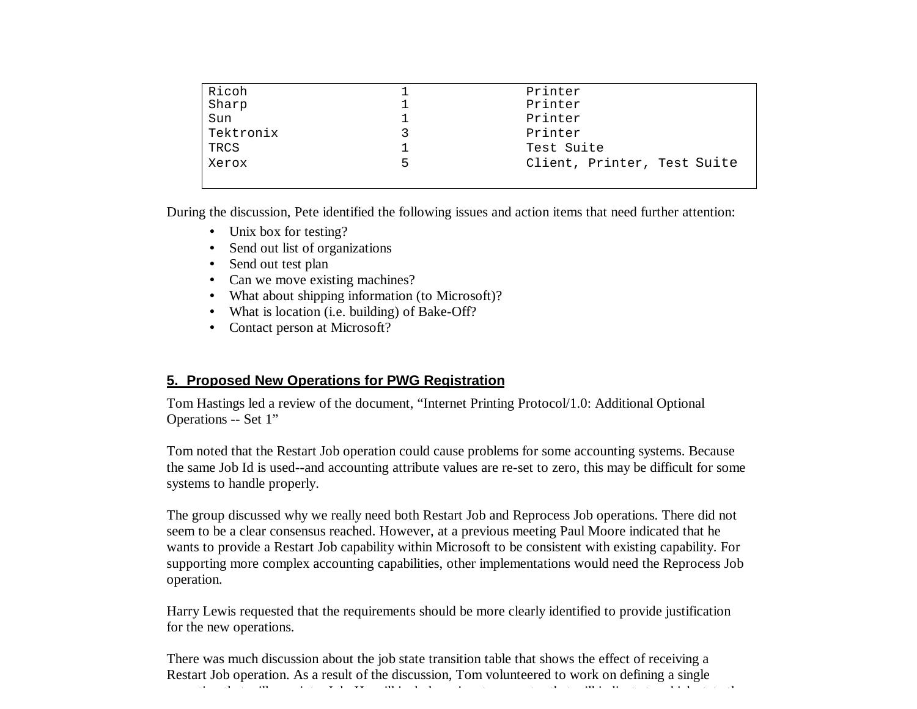| Ricoh     |    | Printer                     |
|-----------|----|-----------------------------|
| Sharp     |    | Printer                     |
| Sun       |    | Printer                     |
| Tektronix |    | Printer                     |
| TRCS      |    | Test Suite                  |
| Xerox     | 5. | Client, Printer, Test Suite |
|           |    |                             |

During the discussion, Pete identified the following issues and action items that need further attention:

- Unix box for testing?
- Send out list of organizations
- Send out test plan
- Can we move existing machines?
- What about shipping information (to Microsoft)?
- What is location (i.e. building) of Bake-Off?
- Contact person at Microsoft?

# **5. Proposed New Operations for PWG Registration**

Tom Hastings led a review of the document, "Internet Printing Protocol/1.0: Additional Optional Operations -- Set 1"

Tom noted that the Restart Job operation could cause problems for some accounting systems. Because the same Job Id is used--and accounting attribute values are re-set to zero, this may be difficult for some systems to handle properly.

The group discussed why we really need both Restart Job and Reprocess Job operations. There did not seem to be a clear consensus reached. However, at a previous meeting Paul Moore indicated that he wants to provide a Restart Job capability within Microsoft to be consistent with existing capability. For supporting more complex accounting capabilities, other implementations would need the Reprocess Job operation.

Harry Lewis requested that the requirements should be more clearly identified to provide justification for the new operations.

There was much discussion about the job state transition table that shows the effect of receiving a Restart Job operation. As a result of the discussion, Tom volunteered to work on defining a single operation that will re-print a Job. He will include an input parameter that will indicate to which state the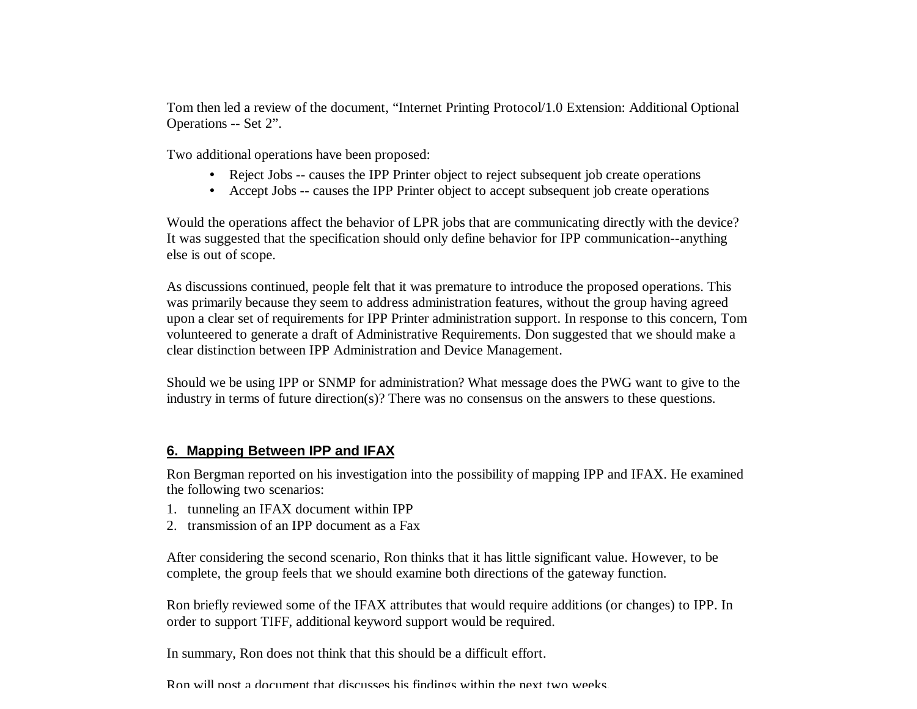Tom then led a review of the document, "Internet Printing Protocol/1.0 Extension: Additional Optional Operations -- Set 2".

Two additional operations have been proposed:

- Reject Jobs -- causes the IPP Printer object to reject subsequent job create operations
- Accept Jobs -- causes the IPP Printer object to accept subsequent job create operations

Would the operations affect the behavior of LPR jobs that are communicating directly with the device? It was suggested that the specification should only define behavior for IPP communication--anything else is out of scope.

As discussions continued, people felt that it was premature to introduce the proposed operations. This was primarily because they seem to address administration features, without the group having agreed upon a clear set of requirements for IPP Printer administration support. In response to this concern, Tom volunteered to generate a draft of Administrative Requirements. Don suggested that we should make a clear distinction between IPP Administration and Device Management.

Should we be using IPP or SNMP for administration? What message does the PWG want to give to the industry in terms of future direction(s)? There was no consensus on the answers to these questions.

#### **6. Mapping Between IPP and IFAX**

Ron Bergman reported on his investigation into the possibility of mapping IPP and IFAX. He examined the following two scenarios:

- 1. tunneling an IFAX document within IPP
- 2. transmission of an IPP document as a Fax

After considering the second scenario, Ron thinks that it has little significant value. However, to be complete, the group feels that we should examine both directions of the gateway function.

Ron briefly reviewed some of the IFAX attributes that would require additions (or changes) to IPP. In order to support TIFF, additional keyword support would be required.

In summary, Ron does not think that this should be a difficult effort.

Ron will post a document that discusses his findings within the next two weeks.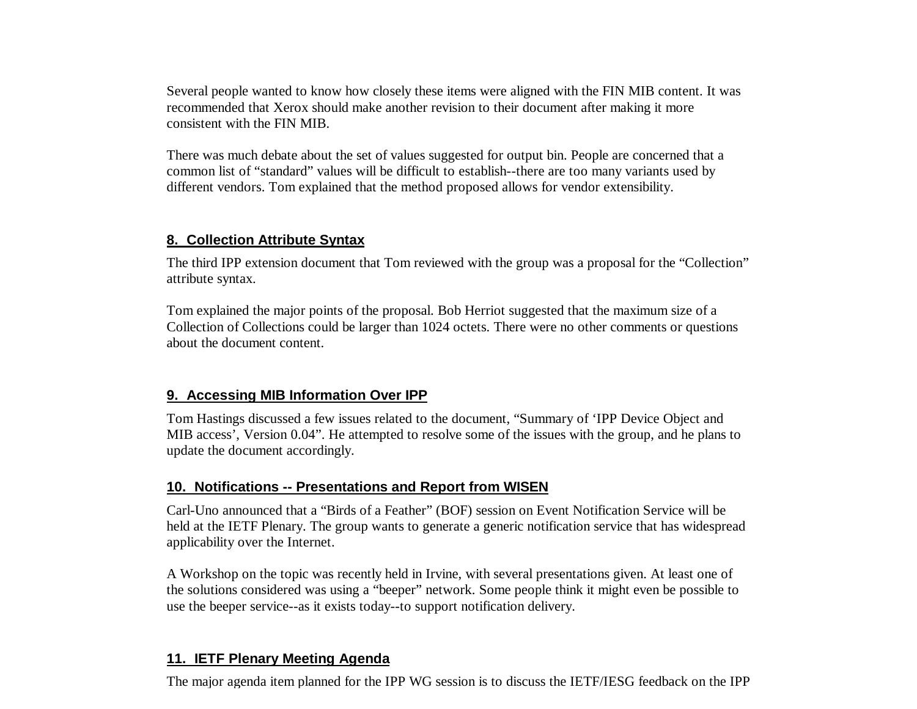Several people wanted to know how closely these items were aligned with the FIN MIB content. It was recommended that Xerox should make another revision to their document after making it more consistent with the FIN MIB.

There was much debate about the set of values suggested for output bin. People are concerned that a common list of "standard" values will be difficult to establish--there are too many variants used by different vendors. Tom explained that the method proposed allows for vendor extensibility.

# **8. Collection Attribute Syntax**

The third IPP extension document that Tom reviewed with the group was a proposal for the "Collection" attribute syntax.

Tom explained the major points of the proposal. Bob Herriot suggested that the maximum size of a Collection of Collections could be larger than 1024 octets. There were no other comments or questions about the document content.

# **9. Accessing MIB Information Over IPP**

Tom Hastings discussed a few issues related to the document, "Summary of 'IPP Device Object and MIB access', Version 0.04". He attempted to resolve some of the issues with the group, and he plans to update the document accordingly.

# **10. Notifications -- Presentations and Report from WISEN**

Carl-Uno announced that a "Birds of a Feather" (BOF) session on Event Notification Service will be held at the IETF Plenary. The group wants to generate a generic notification service that has widespread applicability over the Internet.

A Workshop on the topic was recently held in Irvine, with several presentations given. At least one of the solutions considered was using a "beeper" network. Some people think it might even be possible to use the beeper service--as it exists today--to support notification delivery.

# **11. IETF Plenary Meeting Agenda**

The major agenda item planned for the IPP WG session is to discuss the IETF/IESG feedback on the IPP